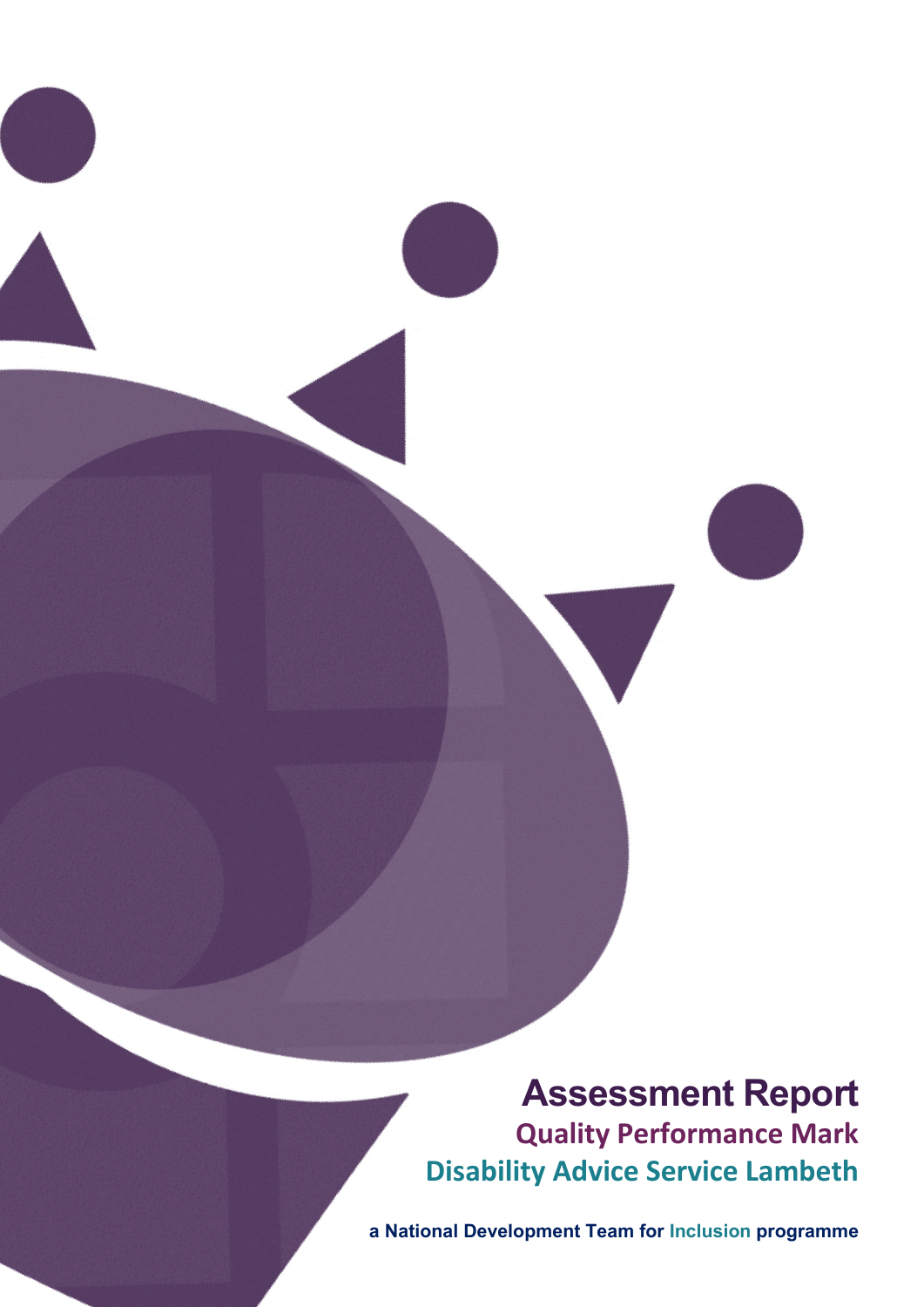**Assessment Report Quality Performance Mark Disability Advice Service Lambeth**

Page **1** of **16 a National Development Team for Inclusion programme**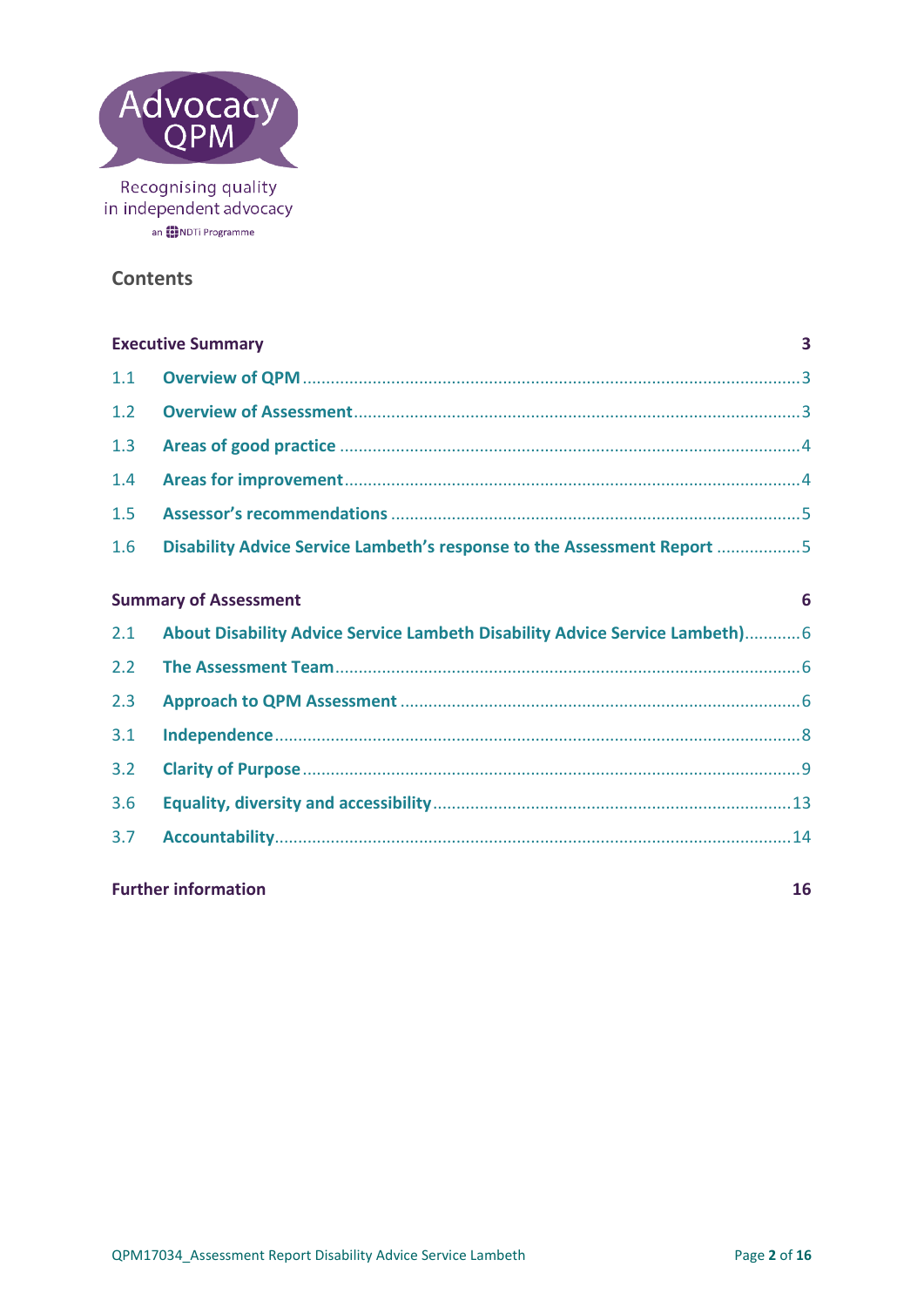

## **Contents**

| <b>Executive Summary</b><br>$\overline{\mathbf{3}}$ |                                                                             |    |
|-----------------------------------------------------|-----------------------------------------------------------------------------|----|
| 1.1                                                 |                                                                             |    |
| 1.2                                                 |                                                                             |    |
| 1.3                                                 |                                                                             |    |
| 1.4                                                 |                                                                             |    |
| 1.5                                                 |                                                                             |    |
| 1.6                                                 | Disability Advice Service Lambeth's response to the Assessment Report 5     |    |
|                                                     | <b>Summary of Assessment</b>                                                | 6  |
| 2.1                                                 | About Disability Advice Service Lambeth Disability Advice Service Lambeth)6 |    |
| 2.2                                                 |                                                                             |    |
| 2.3                                                 |                                                                             |    |
| 3.1                                                 |                                                                             |    |
| 3.2                                                 |                                                                             |    |
| 3.6                                                 |                                                                             |    |
| 3.7                                                 |                                                                             |    |
|                                                     | <b>Further information</b>                                                  | 16 |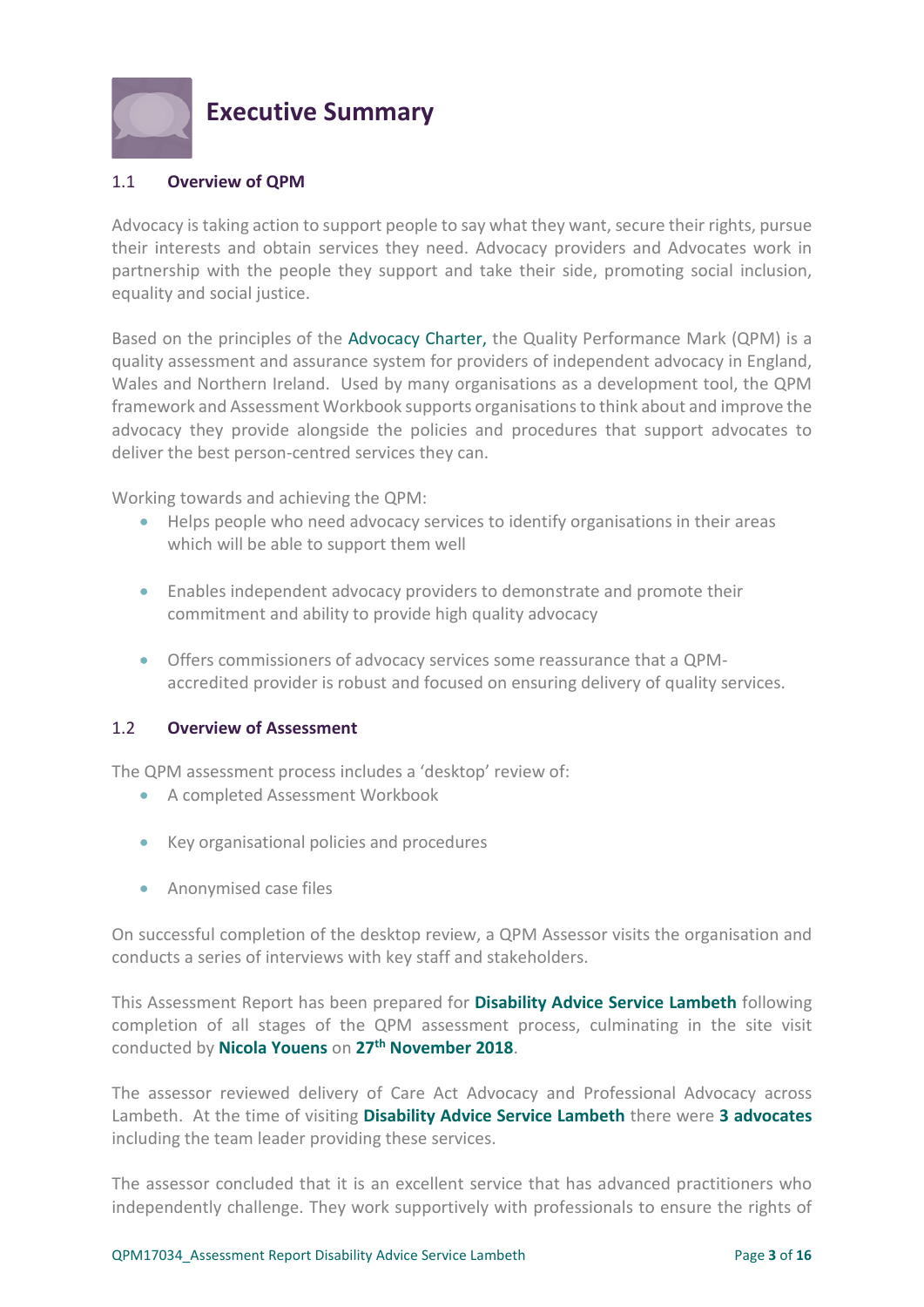

# <span id="page-2-0"></span>**Executive Summary**

## <span id="page-2-1"></span>1.1 **Overview of QPM**

Advocacy is taking action to support people to say what they want, secure their rights, pursue their interests and obtain services they need. Advocacy providers and Advocates work in partnership with the people they support and take their side, promoting social inclusion, equality and social justice.

Based on the principles of the [Advocacy Charter,](http://www.qualityadvocacy.org.uk/wp-content/uploads/2016/09/New-Advocacy-Charter.pdf) the Quality Performance Mark (QPM) is a quality assessment and assurance system for providers of independent advocacy in England, Wales and Northern Ireland. Used by many organisations as a development tool, the QPM framework and Assessment Workbook supports organisations to think about and improve the advocacy they provide alongside the policies and procedures that support advocates to deliver the best person-centred services they can.

Working towards and achieving the QPM:

- Helps people who need advocacy services to identify organisations in their areas which will be able to support them well
- Enables independent advocacy providers to demonstrate and promote their commitment and ability to provide high quality advocacy
- Offers commissioners of advocacy services some reassurance that a QPMaccredited provider is robust and focused on ensuring delivery of quality services.

#### <span id="page-2-2"></span>1.2 **Overview of Assessment**

The QPM assessment process includes a 'desktop' review of:

- A completed Assessment Workbook
- Key organisational policies and procedures
- Anonymised case files

On successful completion of the desktop review, a QPM Assessor visits the organisation and conducts a series of interviews with key staff and stakeholders.

This Assessment Report has been prepared for **Disability Advice Service Lambeth** following completion of all stages of the QPM assessment process, culminating in the site visit conducted by **Nicola Youens** on **27th November 2018**.

The assessor reviewed delivery of Care Act Advocacy and Professional Advocacy across Lambeth. At the time of visiting **Disability Advice Service Lambeth** there were **3 advocates**  including the team leader providing these services.

The assessor concluded that it is an excellent service that has advanced practitioners who independently challenge. They work supportively with professionals to ensure the rights of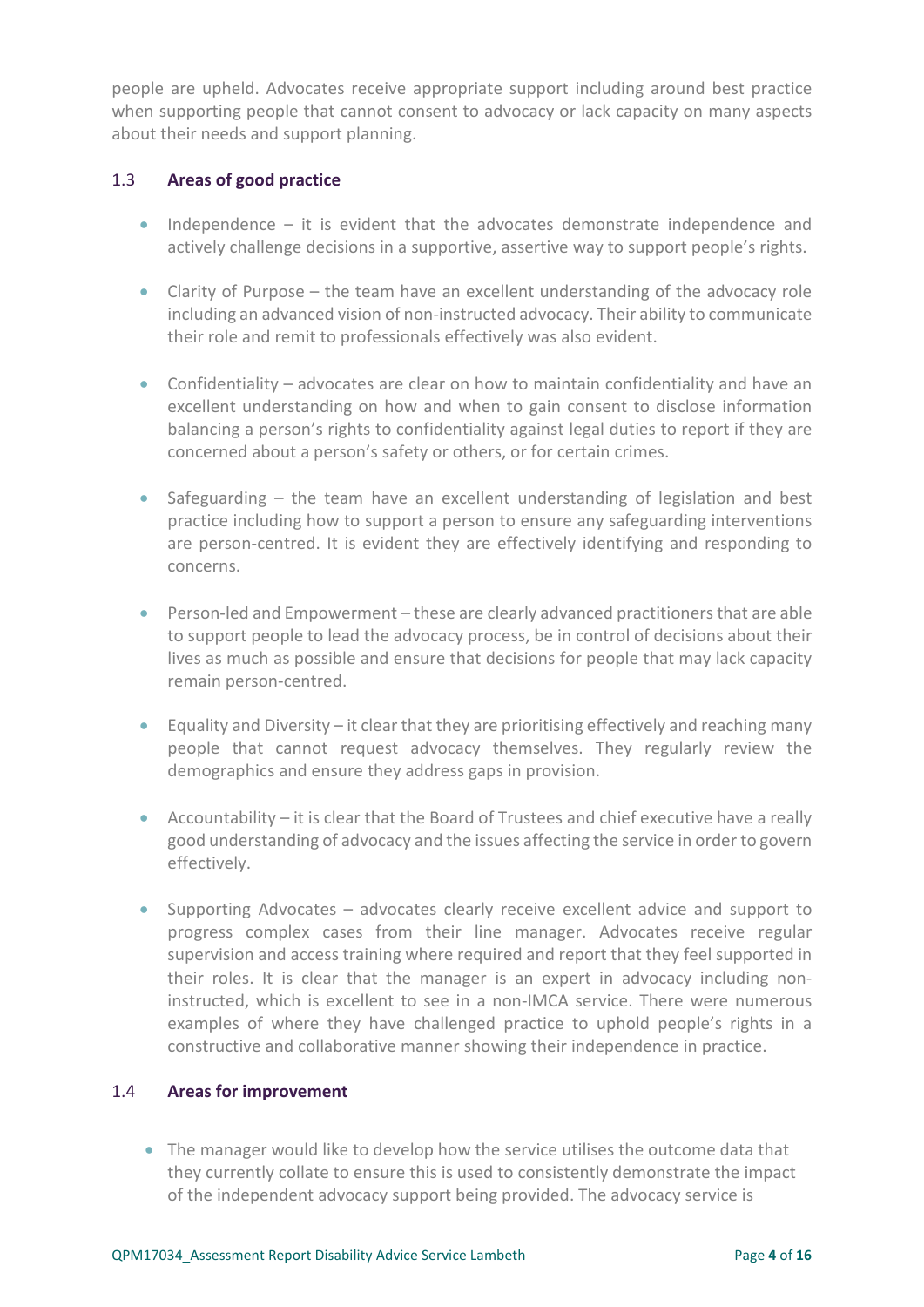people are upheld. Advocates receive appropriate support including around best practice when supporting people that cannot consent to advocacy or lack capacity on many aspects about their needs and support planning.

## <span id="page-3-0"></span>1.3 **Areas of good practice**

- Independence it is evident that the advocates demonstrate independence and actively challenge decisions in a supportive, assertive way to support people's rights.
- Clarity of Purpose the team have an excellent understanding of the advocacy role including an advanced vision of non-instructed advocacy. Their ability to communicate their role and remit to professionals effectively was also evident.
- Confidentiality advocates are clear on how to maintain confidentiality and have an excellent understanding on how and when to gain consent to disclose information balancing a person's rights to confidentiality against legal duties to report if they are concerned about a person's safety or others, or for certain crimes.
- Safeguarding the team have an excellent understanding of legislation and best practice including how to support a person to ensure any safeguarding interventions are person-centred. It is evident they are effectively identifying and responding to concerns.
- Person-led and Empowerment these are clearly advanced practitioners that are able to support people to lead the advocacy process, be in control of decisions about their lives as much as possible and ensure that decisions for people that may lack capacity remain person-centred.
- Equality and Diversity it clear that they are prioritising effectively and reaching many people that cannot request advocacy themselves. They regularly review the demographics and ensure they address gaps in provision.
- Accountability it is clear that the Board of Trustees and chief executive have a really good understanding of advocacy and the issues affecting the service in order to govern effectively.
- Supporting Advocates advocates clearly receive excellent advice and support to progress complex cases from their line manager. Advocates receive regular supervision and access training where required and report that they feel supported in their roles. It is clear that the manager is an expert in advocacy including noninstructed, which is excellent to see in a non-IMCA service. There were numerous examples of where they have challenged practice to uphold people's rights in a constructive and collaborative manner showing their independence in practice.

#### <span id="page-3-1"></span>1.4 **Areas for improvement**

• The manager would like to develop how the service utilises the outcome data that they currently collate to ensure this is used to consistently demonstrate the impact of the independent advocacy support being provided. The advocacy service is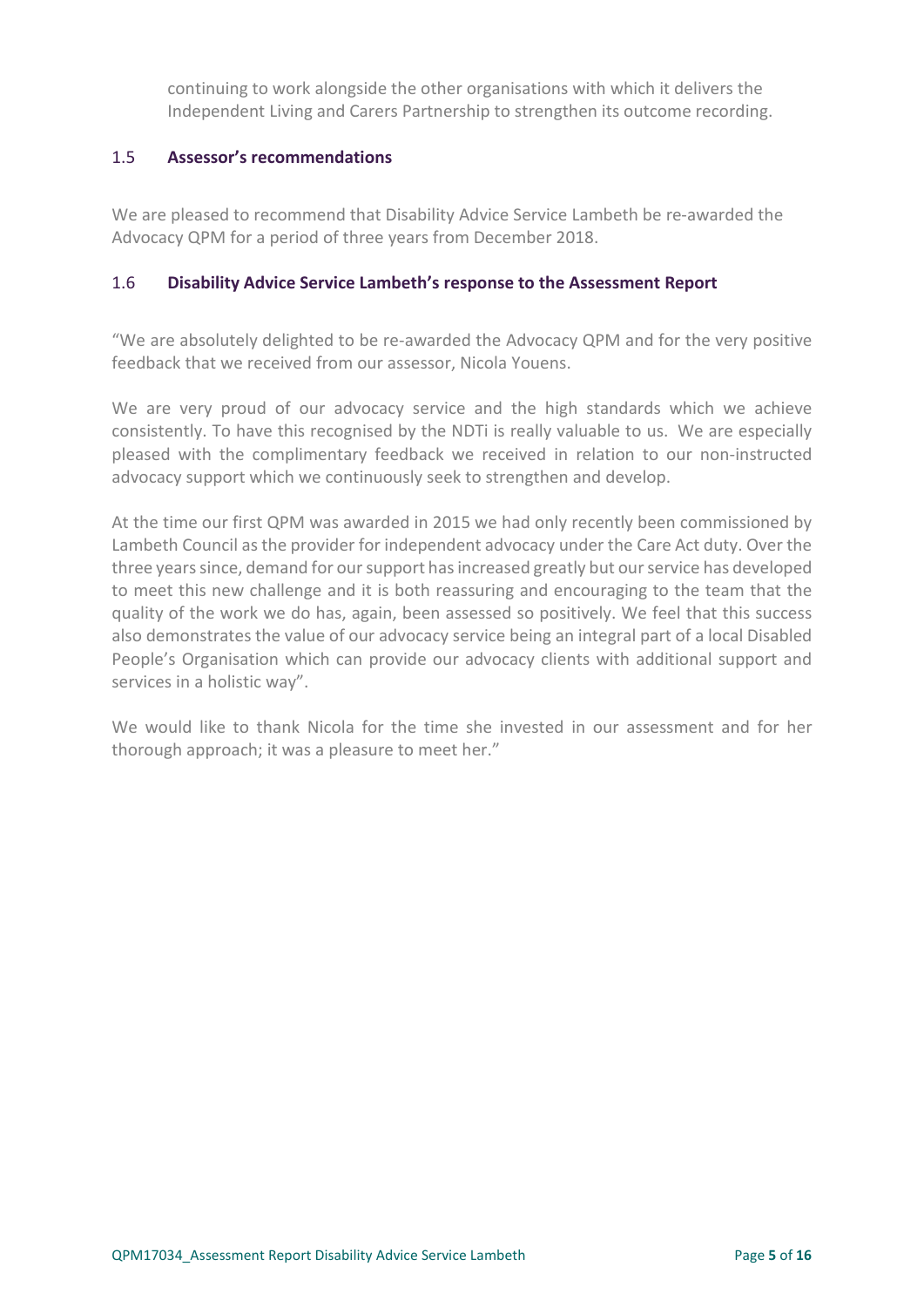continuing to work alongside the other organisations with which it delivers the Independent Living and Carers Partnership to strengthen its outcome recording.

## <span id="page-4-0"></span>1.5 **Assessor's recommendations**

We are pleased to recommend that Disability Advice Service Lambeth be re-awarded the Advocacy QPM for a period of three years from December 2018.

#### <span id="page-4-1"></span>1.6 **Disability Advice Service Lambeth's response to the Assessment Report**

"We are absolutely delighted to be re-awarded the Advocacy QPM and for the very positive feedback that we received from our assessor, Nicola Youens.

We are very proud of our advocacy service and the high standards which we achieve consistently. To have this recognised by the NDTi is really valuable to us. We are especially pleased with the complimentary feedback we received in relation to our non-instructed advocacy support which we continuously seek to strengthen and develop.

At the time our first QPM was awarded in 2015 we had only recently been commissioned by Lambeth Council as the provider for independent advocacy under the Care Act duty. Over the three years since, demand for our support has increased greatly but our service has developed to meet this new challenge and it is both reassuring and encouraging to the team that the quality of the work we do has, again, been assessed so positively. We feel that this success also demonstrates the value of our advocacy service being an integral part of a local Disabled People's Organisation which can provide our advocacy clients with additional support and services in a holistic way".

We would like to thank Nicola for the time she invested in our assessment and for her thorough approach; it was a pleasure to meet her."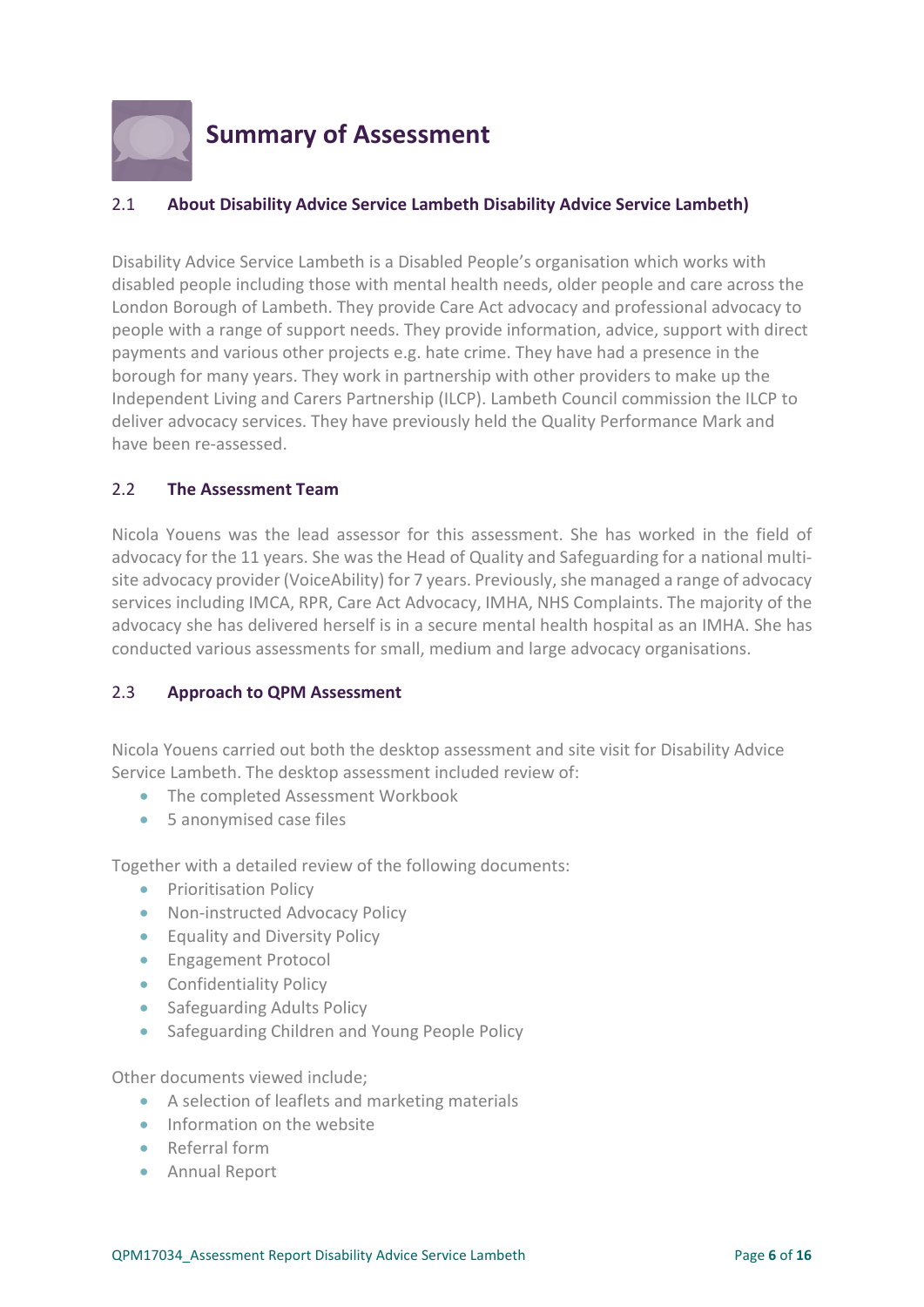

# <span id="page-5-0"></span>**Summary of Assessment**

## <span id="page-5-1"></span>2.1 **About Disability Advice Service Lambeth Disability Advice Service Lambeth)**

Disability Advice Service Lambeth is a Disabled People's organisation which works with disabled people including those with mental health needs, older people and care across the London Borough of Lambeth. They provide Care Act advocacy and professional advocacy to people with a range of support needs. They provide information, advice, support with direct payments and various other projects e.g. hate crime. They have had a presence in the borough for many years. They work in partnership with other providers to make up the Independent Living and Carers Partnership (ILCP). Lambeth Council commission the ILCP to deliver advocacy services. They have previously held the Quality Performance Mark and have been re-assessed.

### <span id="page-5-2"></span>2.2 **The Assessment Team**

Nicola Youens was the lead assessor for this assessment. She has worked in the field of advocacy for the 11 years. She was the Head of Quality and Safeguarding for a national multisite advocacy provider (VoiceAbility) for 7 years. Previously, she managed a range of advocacy services including IMCA, RPR, Care Act Advocacy, IMHA, NHS Complaints. The majority of the advocacy she has delivered herself is in a secure mental health hospital as an IMHA. She has conducted various assessments for small, medium and large advocacy organisations.

#### <span id="page-5-3"></span>2.3 **Approach to QPM Assessment**

Nicola Youens carried out both the desktop assessment and site visit for Disability Advice Service Lambeth. The desktop assessment included review of:

- The completed Assessment Workbook
- 5 anonymised case files

Together with a detailed review of the following documents:

- Prioritisation Policy
- Non-instructed Advocacy Policy
- Equality and Diversity Policy
- Engagement Protocol
- Confidentiality Policy
- Safeguarding Adults Policy
- Safeguarding Children and Young People Policy

Other documents viewed include;

- A selection of leaflets and marketing materials
- Information on the website
- Referral form
- Annual Report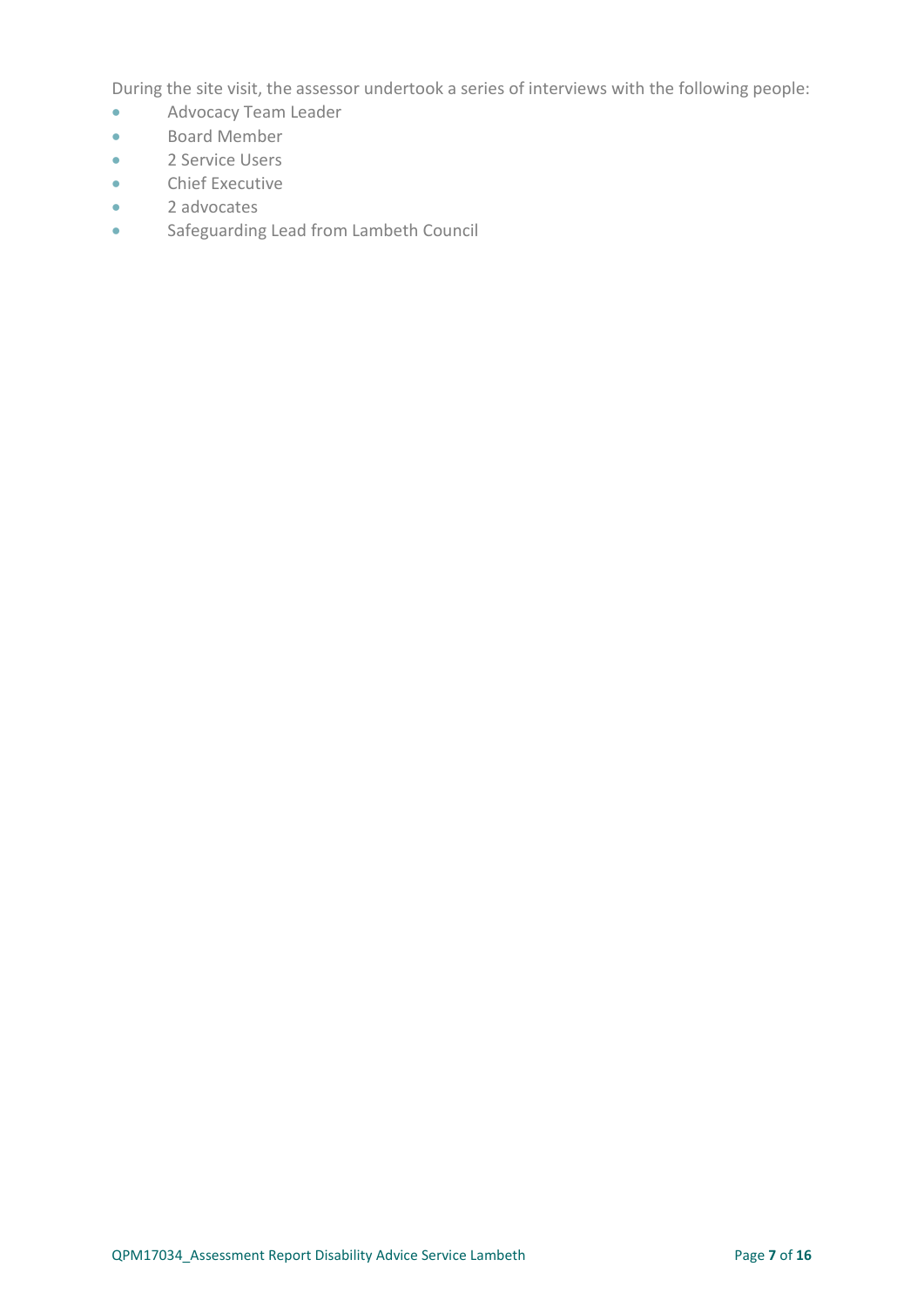During the site visit, the assessor undertook a series of interviews with the following people:

- Advocacy Team Leader
- Board Member
- 2 Service Users
- Chief Executive
- 2 advocates
- Safeguarding Lead from Lambeth Council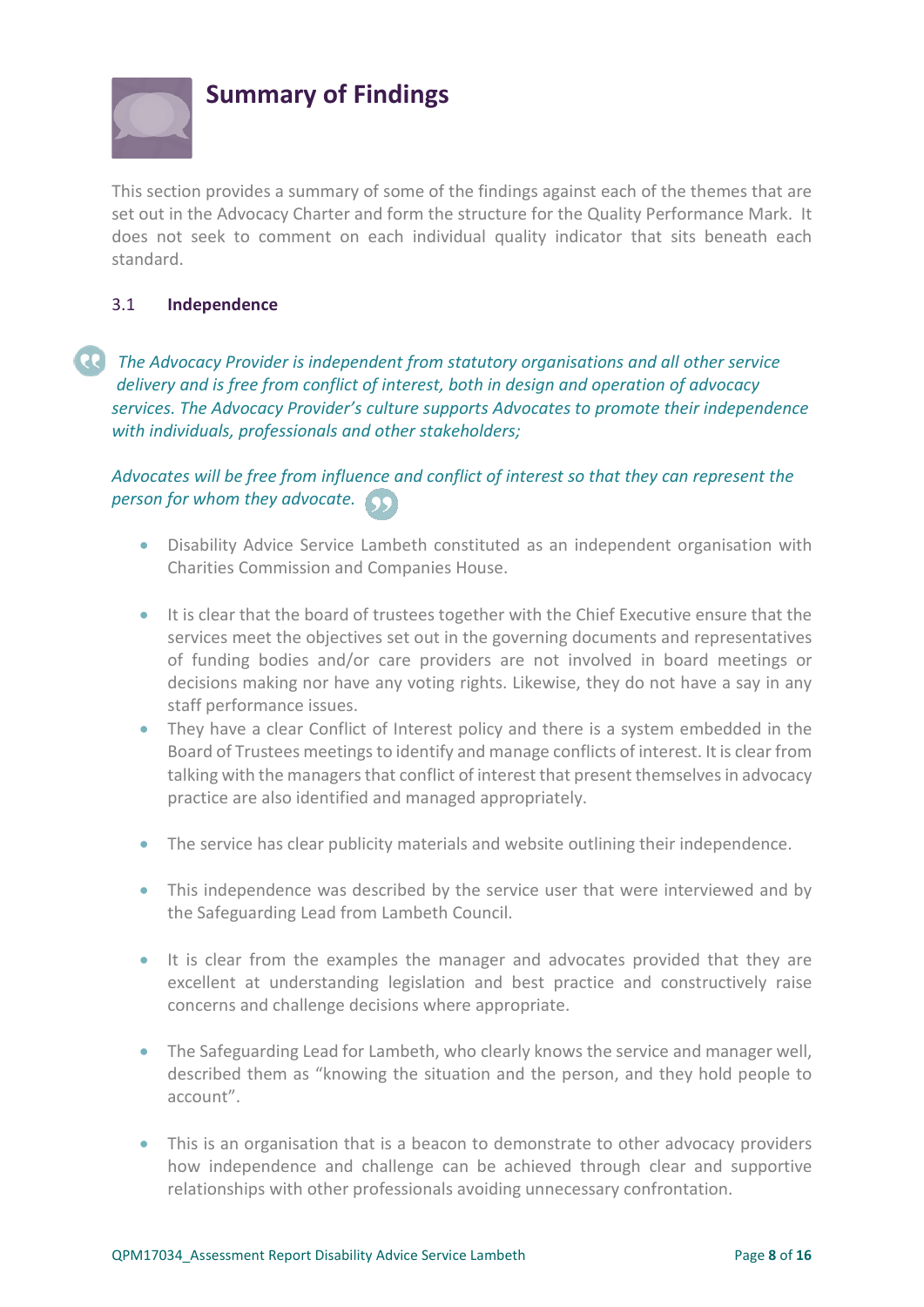

## **Summary of Findings**

This section provides a summary of some of the findings against each of the themes that are set out in the Advocacy Charter and form the structure for the Quality Performance Mark. It does not seek to comment on each individual quality indicator that sits beneath each standard.

### <span id="page-7-0"></span>3.1 **Independence**

*The Advocacy Provider is independent from statutory organisations and all other service delivery and is free from conflict of interest, both in design and operation of advocacy services. The Advocacy Provider's culture supports Advocates to promote their independence with individuals, professionals and other stakeholders;*

## *Advocates will be free from influence and conflict of interest so that they can represent the person for whom they advocate.*

- Disability Advice Service Lambeth constituted as an independent organisation with Charities Commission and Companies House.
- It is clear that the board of trustees together with the Chief Executive ensure that the services meet the objectives set out in the governing documents and representatives of funding bodies and/or care providers are not involved in board meetings or decisions making nor have any voting rights. Likewise, they do not have a say in any staff performance issues.
- They have a clear Conflict of Interest policy and there is a system embedded in the Board of Trustees meetings to identify and manage conflicts of interest. It is clear from talking with the managers that conflict of interest that present themselves in advocacy practice are also identified and managed appropriately.
- The service has clear publicity materials and website outlining their independence.
- This independence was described by the service user that were interviewed and by the Safeguarding Lead from Lambeth Council.
- It is clear from the examples the manager and advocates provided that they are excellent at understanding legislation and best practice and constructively raise concerns and challenge decisions where appropriate.
- The Safeguarding Lead for Lambeth, who clearly knows the service and manager well, described them as "knowing the situation and the person, and they hold people to account".
- This is an organisation that is a beacon to demonstrate to other advocacy providers how independence and challenge can be achieved through clear and supportive relationships with other professionals avoiding unnecessary confrontation.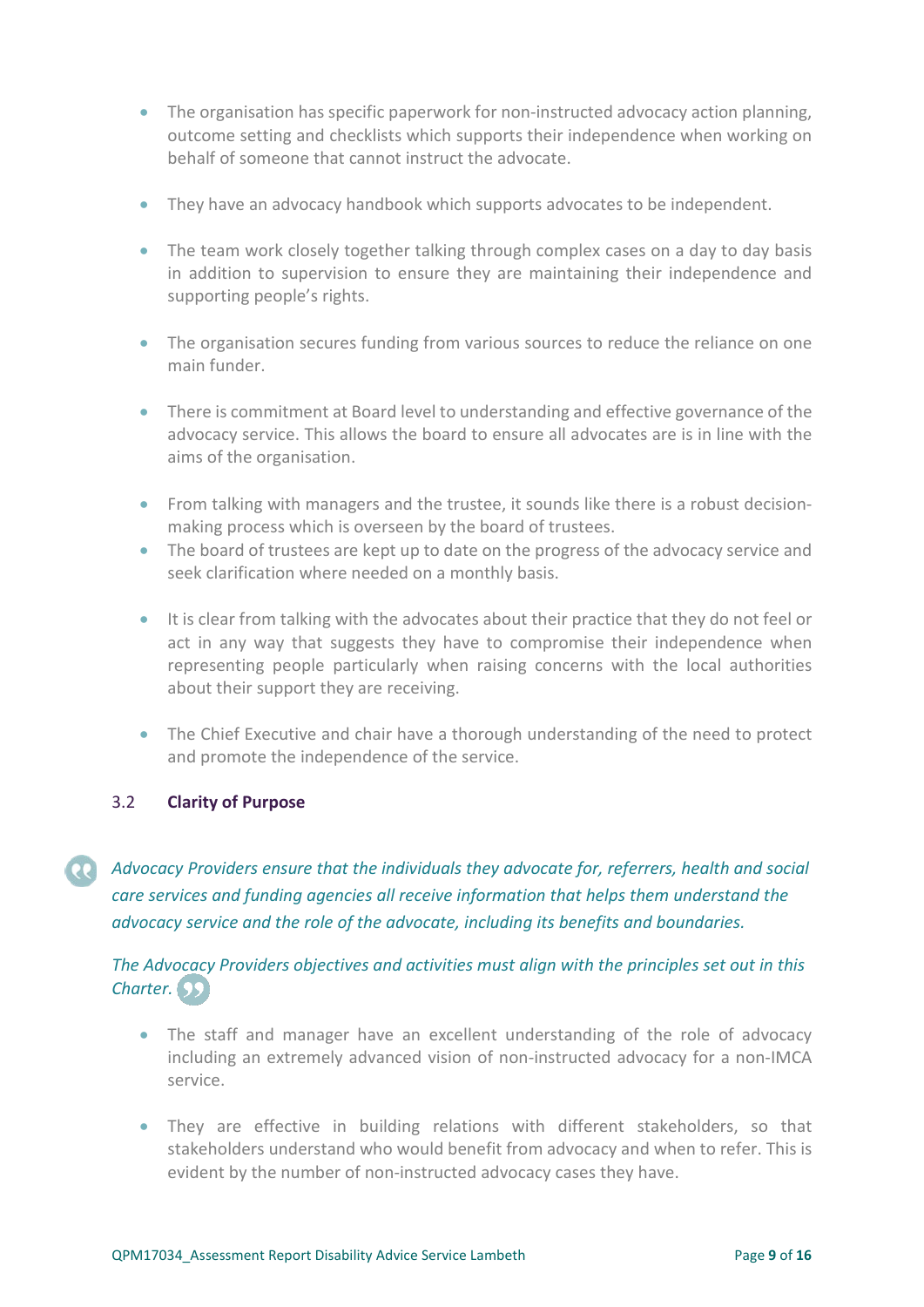- The organisation has specific paperwork for non-instructed advocacy action planning. outcome setting and checklists which supports their independence when working on behalf of someone that cannot instruct the advocate.
- They have an advocacy handbook which supports advocates to be independent.
- The team work closely together talking through complex cases on a day to day basis in addition to supervision to ensure they are maintaining their independence and supporting people's rights.
- The organisation secures funding from various sources to reduce the reliance on one main funder.
- There is commitment at Board level to understanding and effective governance of the advocacy service. This allows the board to ensure all advocates are is in line with the aims of the organisation.
- From talking with managers and the trustee, it sounds like there is a robust decisionmaking process which is overseen by the board of trustees.
- The board of trustees are kept up to date on the progress of the advocacy service and seek clarification where needed on a monthly basis.
- It is clear from talking with the advocates about their practice that they do not feel or act in any way that suggests they have to compromise their independence when representing people particularly when raising concerns with the local authorities about their support they are receiving.
- The Chief Executive and chair have a thorough understanding of the need to protect and promote the independence of the service.

#### <span id="page-8-0"></span>3.2 **Clarity of Purpose**

*Advocacy Providers ensure that the individuals they advocate for, referrers, health and social care services and funding agencies all receive information that helps them understand the advocacy service and the role of the advocate, including its benefits and boundaries.*

## *The Advocacy Providers objectives and activities must align with the principles set out in this Charter.*

- The staff and manager have an excellent understanding of the role of advocacy including an extremely advanced vision of non-instructed advocacy for a non-IMCA service.
- They are effective in building relations with different stakeholders, so that stakeholders understand who would benefit from advocacy and when to refer. This is evident by the number of non-instructed advocacy cases they have.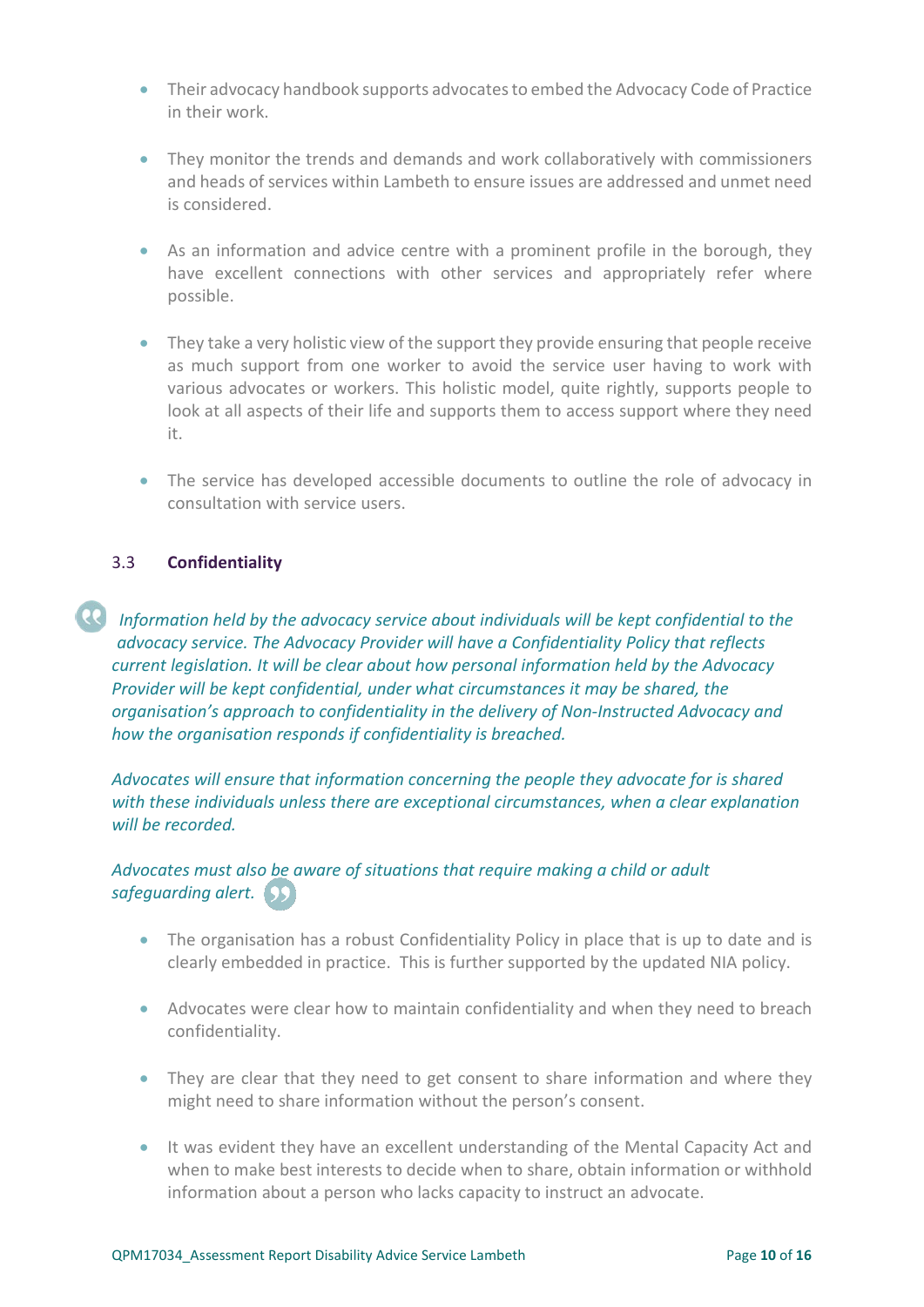- Their advocacy handbook supports advocates to embed the Advocacy Code of Practice in their work.
- They monitor the trends and demands and work collaboratively with commissioners and heads of services within Lambeth to ensure issues are addressed and unmet need is considered.
- As an information and advice centre with a prominent profile in the borough, they have excellent connections with other services and appropriately refer where possible.
- They take a very holistic view of the support they provide ensuring that people receive as much support from one worker to avoid the service user having to work with various advocates or workers. This holistic model, quite rightly, supports people to look at all aspects of their life and supports them to access support where they need it.
- The service has developed accessible documents to outline the role of advocacy in consultation with service users.

### 3.3 **Confidentiality**

*Information held by the advocacy service about individuals will be kept confidential to the advocacy service. The Advocacy Provider will have a Confidentiality Policy that reflects current legislation. It will be clear about how personal information held by the Advocacy Provider will be kept confidential, under what circumstances it may be shared, the organisation's approach to confidentiality in the delivery of Non-Instructed Advocacy and how the organisation responds if confidentiality is breached.* 

*Advocates will ensure that information concerning the people they advocate for is shared with these individuals unless there are exceptional circumstances, when a clear explanation will be recorded.* 

## *Advocates must also be aware of situations that require making a child or adult safeguarding alert.*

- The organisation has a robust Confidentiality Policy in place that is up to date and is clearly embedded in practice. This is further supported by the updated NIA policy.
- Advocates were clear how to maintain confidentiality and when they need to breach confidentiality.
- They are clear that they need to get consent to share information and where they might need to share information without the person's consent.
- It was evident they have an excellent understanding of the Mental Capacity Act and when to make best interests to decide when to share, obtain information or withhold information about a person who lacks capacity to instruct an advocate.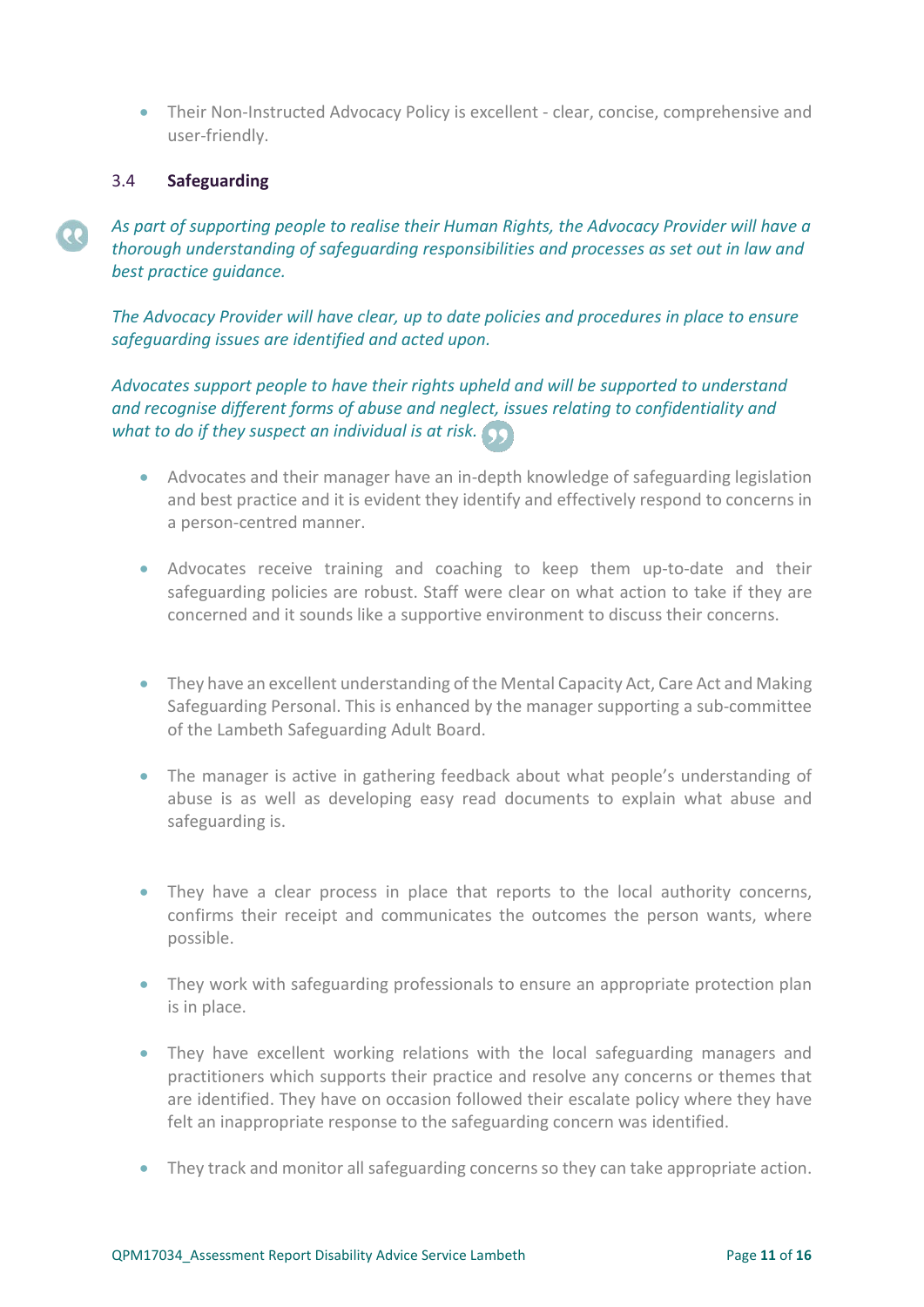• Their Non-Instructed Advocacy Policy is excellent - clear, concise, comprehensive and user-friendly.

#### 3.4 **Safeguarding**

*As part of supporting people to realise their Human Rights, the Advocacy Provider will have a thorough understanding of safeguarding responsibilities and processes as set out in law and best practice guidance.* 

*The Advocacy Provider will have clear, up to date policies and procedures in place to ensure safeguarding issues are identified and acted upon.* 

*Advocates support people to have their rights upheld and will be supported to understand and recognise different forms of abuse and neglect, issues relating to confidentiality and what to do if they suspect an individual is at risk.*

- Advocates and their manager have an in-depth knowledge of safeguarding legislation and best practice and it is evident they identify and effectively respond to concerns in a person-centred manner.
- Advocates receive training and coaching to keep them up-to-date and their safeguarding policies are robust. Staff were clear on what action to take if they are concerned and it sounds like a supportive environment to discuss their concerns.
- They have an excellent understanding of the Mental Capacity Act, Care Act and Making Safeguarding Personal. This is enhanced by the manager supporting a sub-committee of the Lambeth Safeguarding Adult Board.
- The manager is active in gathering feedback about what people's understanding of abuse is as well as developing easy read documents to explain what abuse and safeguarding is.
- They have a clear process in place that reports to the local authority concerns, confirms their receipt and communicates the outcomes the person wants, where possible.
- They work with safeguarding professionals to ensure an appropriate protection plan is in place.
- They have excellent working relations with the local safeguarding managers and practitioners which supports their practice and resolve any concerns or themes that are identified. They have on occasion followed their escalate policy where they have felt an inappropriate response to the safeguarding concern was identified.
- They track and monitor all safeguarding concerns so they can take appropriate action.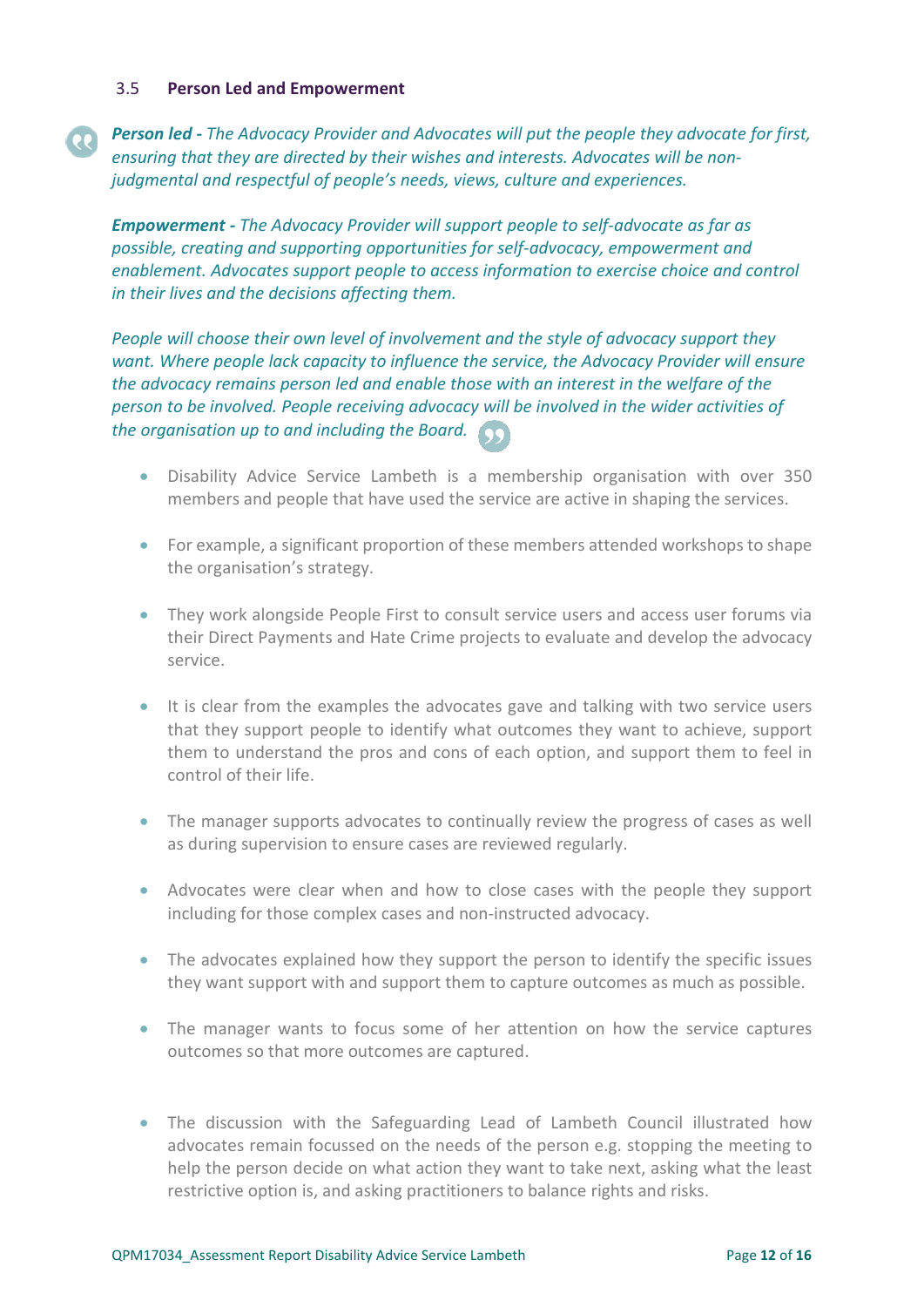#### 3.5 **Person Led and Empowerment**

## *Person led - The Advocacy Provider and Advocates will put the people they advocate for first, ensuring that they are directed by their wishes and interests. Advocates will be nonjudgmental and respectful of people's needs, views, culture and experiences.*

*Empowerment - The Advocacy Provider will support people to self-advocate as far as possible, creating and supporting opportunities for self-advocacy, empowerment and enablement. Advocates support people to access information to exercise choice and control in their lives and the decisions affecting them.* 

*People will choose their own level of involvement and the style of advocacy support they want. Where people lack capacity to influence the service, the Advocacy Provider will ensure the advocacy remains person led and enable those with an interest in the welfare of the person to be involved. People receiving advocacy will be involved in the wider activities of the organisation up to and including the Board.*

- Disability Advice Service Lambeth is a membership organisation with over 350 members and people that have used the service are active in shaping the services.
- For example, a significant proportion of these members attended workshops to shape the organisation's strategy.
- They work alongside People First to consult service users and access user forums via their Direct Payments and Hate Crime projects to evaluate and develop the advocacy service.
- It is clear from the examples the advocates gave and talking with two service users that they support people to identify what outcomes they want to achieve, support them to understand the pros and cons of each option, and support them to feel in control of their life.
- The manager supports advocates to continually review the progress of cases as well as during supervision to ensure cases are reviewed regularly.
- Advocates were clear when and how to close cases with the people they support including for those complex cases and non-instructed advocacy.
- The advocates explained how they support the person to identify the specific issues they want support with and support them to capture outcomes as much as possible.
- The manager wants to focus some of her attention on how the service captures outcomes so that more outcomes are captured.
- The discussion with the Safeguarding Lead of Lambeth Council illustrated how advocates remain focussed on the needs of the person e.g. stopping the meeting to help the person decide on what action they want to take next, asking what the least restrictive option is, and asking practitioners to balance rights and risks.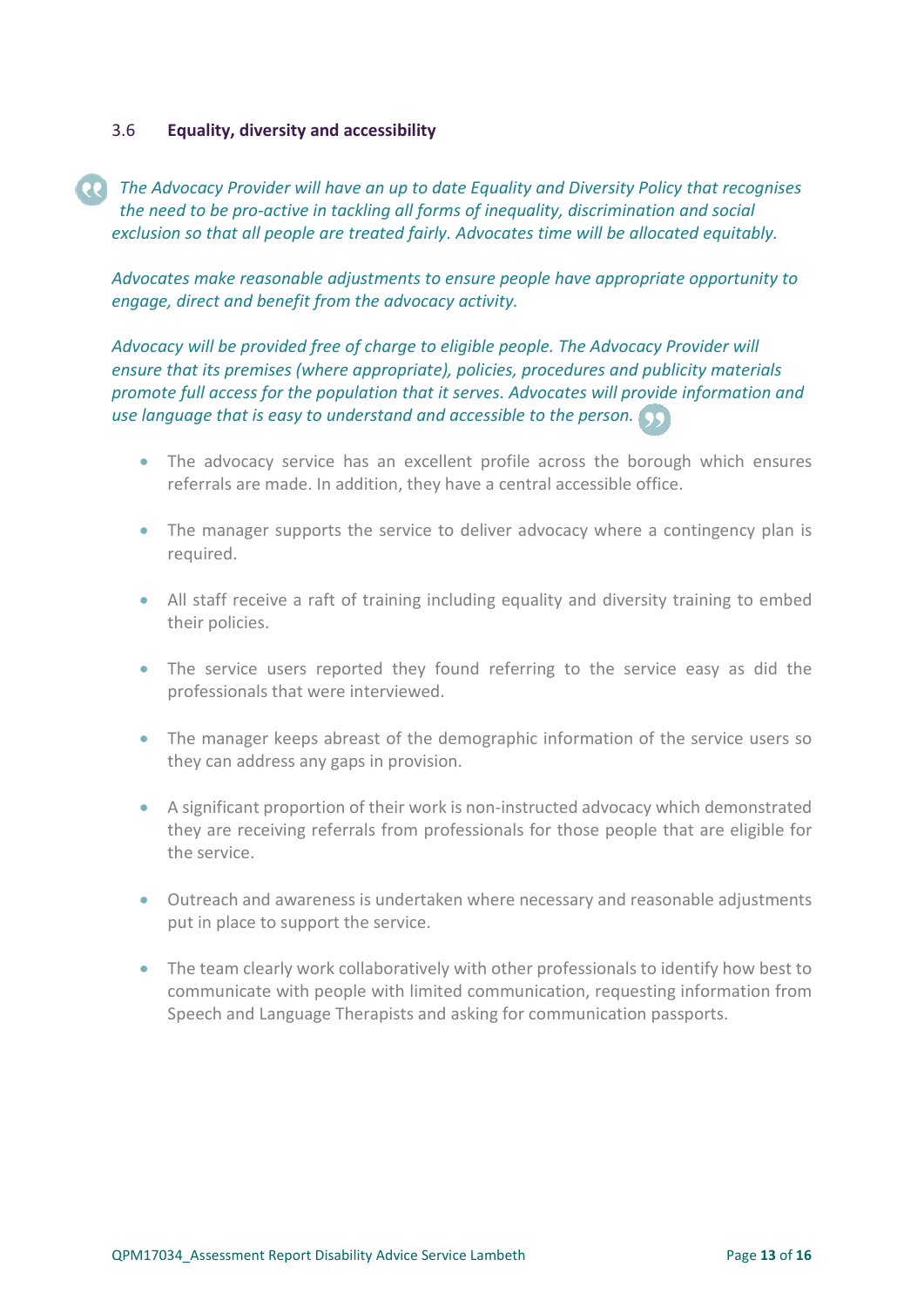#### <span id="page-12-0"></span>3.6 **Equality, diversity and accessibility**

*The Advocacy Provider will have an up to date Equality and Diversity Policy that recognises the need to be pro-active in tackling all forms of inequality, discrimination and social exclusion so that all people are treated fairly. Advocates time will be allocated equitably.* 

*Advocates make reasonable adjustments to ensure people have appropriate opportunity to engage, direct and benefit from the advocacy activity.* 

*Advocacy will be provided free of charge to eligible people. The Advocacy Provider will ensure that its premises (where appropriate), policies, procedures and publicity materials promote full access for the population that it serves. Advocates will provide information and use language that is easy to understand and accessible to the person.*

- The advocacy service has an excellent profile across the borough which ensures referrals are made. In addition, they have a central accessible office.
- The manager supports the service to deliver advocacy where a contingency plan is required.
- All staff receive a raft of training including equality and diversity training to embed their policies.
- The service users reported they found referring to the service easy as did the professionals that were interviewed.
- The manager keeps abreast of the demographic information of the service users so they can address any gaps in provision.
- A significant proportion of their work is non-instructed advocacy which demonstrated they are receiving referrals from professionals for those people that are eligible for the service.
- Outreach and awareness is undertaken where necessary and reasonable adjustments put in place to support the service.
- The team clearly work collaboratively with other professionals to identify how best to communicate with people with limited communication, requesting information from Speech and Language Therapists and asking for communication passports.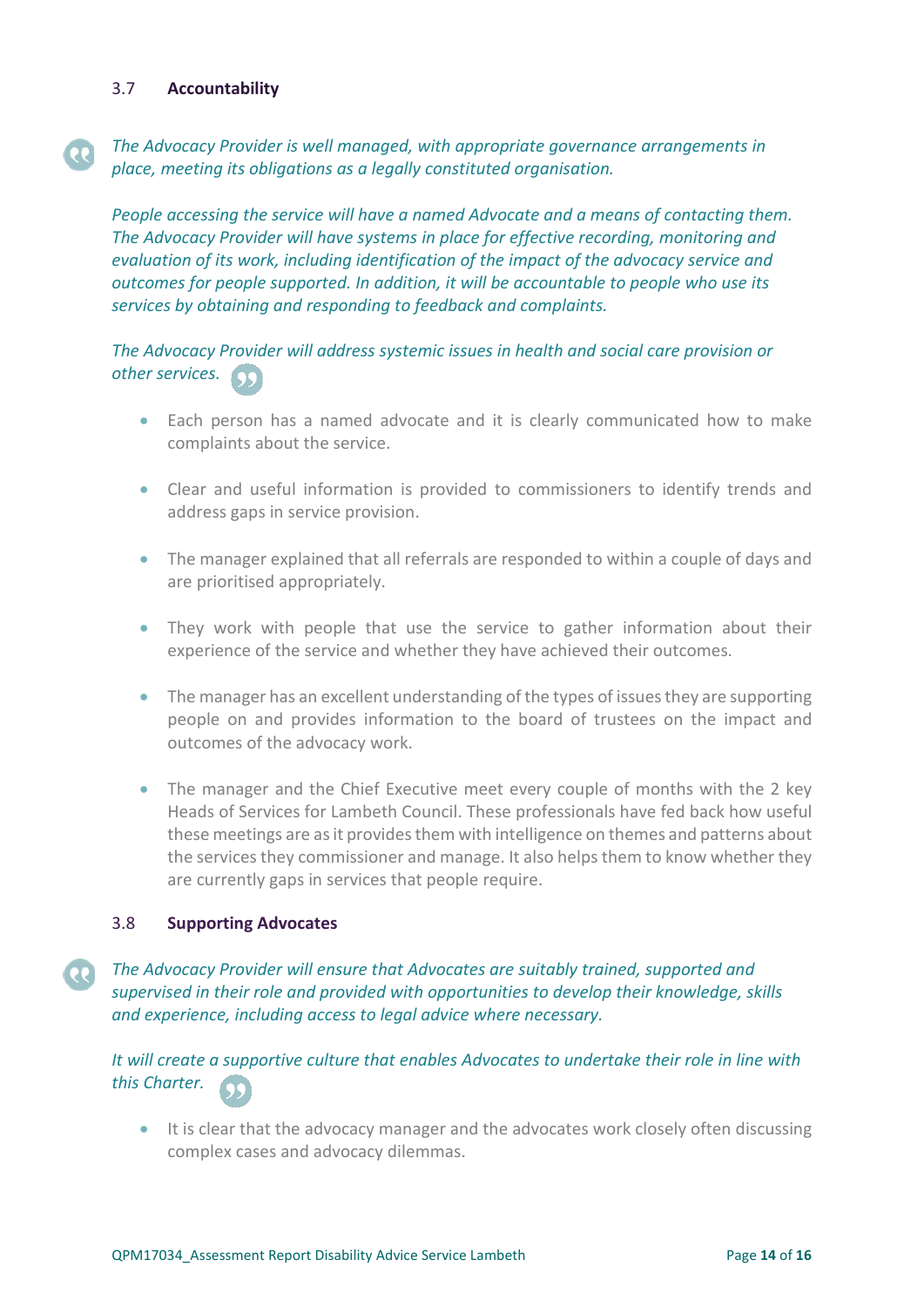#### <span id="page-13-0"></span>3.7 **Accountability**

 $\overline{\mathbf{e}}$ 

## *The Advocacy Provider is well managed, with appropriate governance arrangements in place, meeting its obligations as a legally constituted organisation.*

*People accessing the service will have a named Advocate and a means of contacting them. The Advocacy Provider will have systems in place for effective recording, monitoring and evaluation of its work, including identification of the impact of the advocacy service and outcomes for people supported. In addition, it will be accountable to people who use its services by obtaining and responding to feedback and complaints.* 

## *The Advocacy Provider will address systemic issues in health and social care provision or other services.*

- Each person has a named advocate and it is clearly communicated how to make complaints about the service.
- Clear and useful information is provided to commissioners to identify trends and address gaps in service provision.
- The manager explained that all referrals are responded to within a couple of days and are prioritised appropriately.
- They work with people that use the service to gather information about their experience of the service and whether they have achieved their outcomes.
- The manager has an excellent understanding of the types of issues they are supporting people on and provides information to the board of trustees on the impact and outcomes of the advocacy work.
- The manager and the Chief Executive meet every couple of months with the 2 key Heads of Services for Lambeth Council. These professionals have fed back how useful these meetings are as it provides them with intelligence on themes and patterns about the services they commissioner and manage. It also helps them to know whether they are currently gaps in services that people require.

#### 3.8 **Supporting Advocates**

*The Advocacy Provider will ensure that Advocates are suitably trained, supported and supervised in their role and provided with opportunities to develop their knowledge, skills and experience, including access to legal advice where necessary.* 

*It will create a supportive culture that enables Advocates to undertake their role in line with this Charter.*

• It is clear that the advocacy manager and the advocates work closely often discussing complex cases and advocacy dilemmas.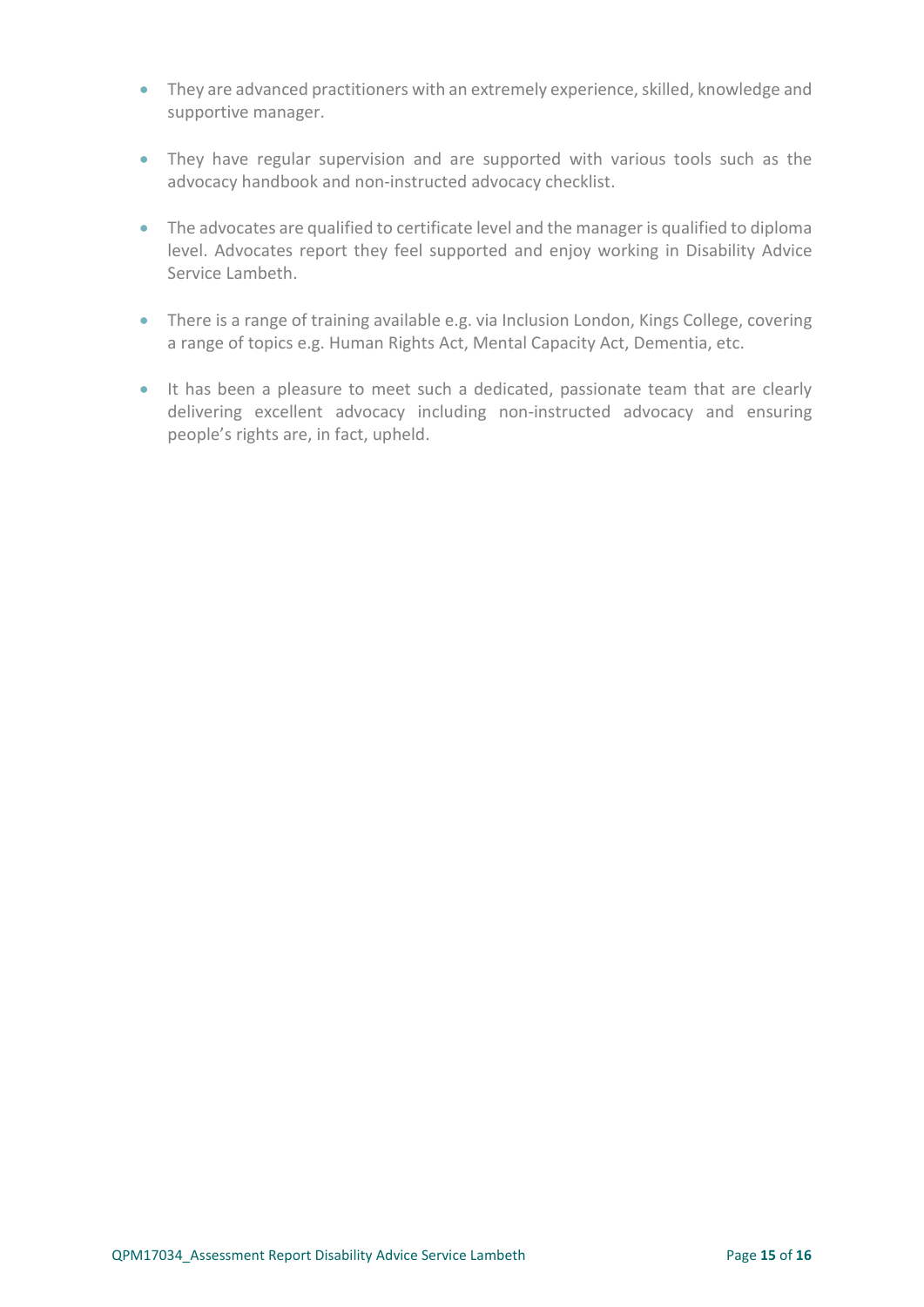- They are advanced practitioners with an extremely experience, skilled, knowledge and supportive manager.
- They have regular supervision and are supported with various tools such as the advocacy handbook and non-instructed advocacy checklist.
- The advocates are qualified to certificate level and the manager is qualified to diploma level. Advocates report they feel supported and enjoy working in Disability Advice Service Lambeth.
- There is a range of training available e.g. via Inclusion London, Kings College, covering a range of topics e.g. Human Rights Act, Mental Capacity Act, Dementia, etc.
- It has been a pleasure to meet such a dedicated, passionate team that are clearly delivering excellent advocacy including non-instructed advocacy and ensuring people's rights are, in fact, upheld.